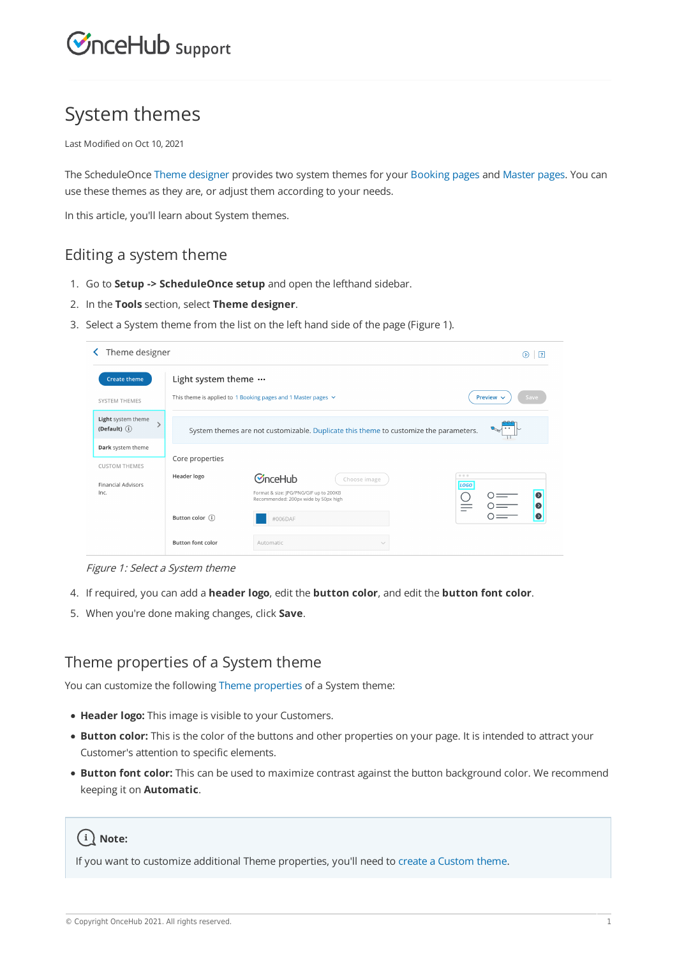

## System themes

Last Modified on Oct 10, 2021

The ScheduleOnce Theme designer provides two system themes for your Booking pages and Master pages. You can use these themes as they are, or adjust them according to your needs.

In this article, you'll learn about System themes.

### Editing a system theme

- 1. Go to **Setup -> ScheduleOnce setup** and open the lefthand sidebar.
- 2. In the **Tools** section, select **Theme designer**.
- 3. Select a System theme from the list on the left hand side of the page (Figure 1).

| Theme designer                        |                          |                                                                                                           | $\sqrt{2}$<br>(D)      |
|---------------------------------------|--------------------------|-----------------------------------------------------------------------------------------------------------|------------------------|
| <b>Create theme</b>                   | Light system theme       |                                                                                                           |                        |
| SYSTEM THEMES                         |                          | This theme is applied to 1 Booking pages and 1 Master pages $\vee$                                        | Preview $\sim$<br>Save |
| Light system theme<br>(Default) $(i)$ |                          | System themes are not customizable. Duplicate this theme to customize the parameters.                     |                        |
| Dark system theme                     |                          |                                                                                                           |                        |
| <b>CUSTOM THEMES</b>                  | Core properties          |                                                                                                           |                        |
| <b>Financial Advisors</b><br>Inc.     | Header logo              | CnceHub<br>Choose image<br>Format & size: JPG/PNG/GIF up to 200KB<br>Recommended: 200px wide by 50px high | 0.0.0<br>LOGO<br>Ω     |
|                                       | Button color $(i)$       | #006DAF                                                                                                   | Ω                      |
|                                       | <b>Button font color</b> | Automatic<br>$\sim$                                                                                       |                        |

Figure 1: Select <sup>a</sup> System theme

- 4. If required, you can add a **header logo**, edit the **button color**, and edit the **button font color**.
- 5. When you're done making changes, click **Save**.

### Theme properties of a System theme

You can customize the following Theme properties of a System theme:

- **Header logo:** This image is visible to your Customers.
- **Button color:** This is the color of the buttons and other properties on your page. It is intended to attract your Customer's attention to specific elements.
- **Button font color:** This can be used to maximize contrast against the button background color. We recommend keeping it on **Automatic**.

## $(i)$  Note:

If you want to customize additional Theme properties, you'll need to create a Custom theme.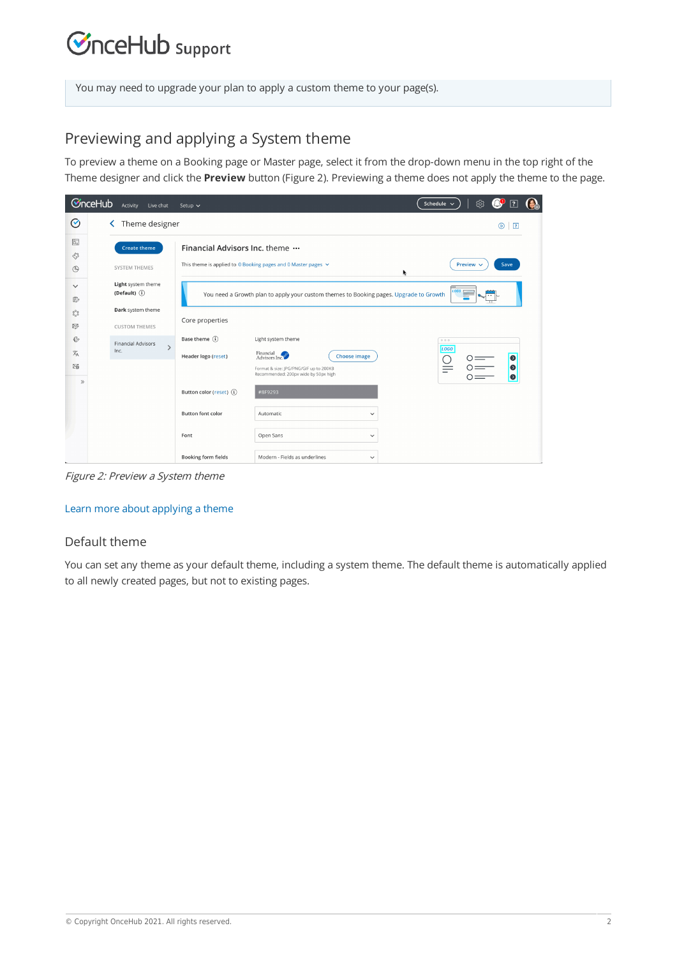## **CInceHub** support

You may need to upgrade your plan to apply a custom theme to your page(s).

## Previewing and applying a System theme

To preview a theme on a Booking page or Master page, select it from the drop-down menu in the top right of the Theme designer and click the **Preview** button (Figure 2). Previewing a theme does not apply the theme to the page.

|                      | <b>C</b> nceHub | Activity<br>Live chat                      | Setup $\sim$                  |                                                                                        | ශූ<br>Ó,<br>Đ<br>Schedule $\sim$<br>$\overline{?}$ |
|----------------------|-----------------|--------------------------------------------|-------------------------------|----------------------------------------------------------------------------------------|----------------------------------------------------|
| Ø                    |                 | Theme designer<br>≺                        |                               |                                                                                        | $^{\circ}$<br>$\sqrt{2}$                           |
| $\overline{\Box}$    |                 | <b>Create theme</b>                        | Financial Advisors Inc. theme |                                                                                        |                                                    |
| 83<br>$\circledcirc$ |                 | SYSTEM THEMES                              |                               | This theme is applied to 0 Booking pages and 0 Master pages $\vee$                     | Save<br>Preview $\sim$                             |
| $\checkmark$<br>₽    |                 | Light system theme<br>(Default) $(i)$      |                               | You need a Growth plan to apply your custom themes to Booking pages. Upgrade to Growth | LOGO                                               |
| $\frac{80}{60}$      |                 | Dark system theme                          | Core properties               |                                                                                        |                                                    |
| 昣                    |                 | <b>CUSTOM THEMES</b>                       |                               |                                                                                        |                                                    |
| ♦                    |                 | <b>Financial Advisors</b><br>$\rightarrow$ | Base theme (i)                | Light system theme                                                                     | 0.0.0<br>LOGO                                      |
| 文                    |                 | Inc.                                       | Header logo (reset)           | Financial<br>Financial<br>Advisors Inc.<br><b>Choose image</b>                         | $\bullet$                                          |
| 砀                    |                 |                                            |                               | Format & size: JPG/PNG/GIF up to 200KB<br>Recommended: 200px wide by 50px high         | $\bullet$                                          |
| $\gg$                |                 |                                            | Button color (reset) (i)      | #8F9293                                                                                |                                                    |
|                      |                 |                                            | <b>Button font color</b>      | Automatic<br>$\checkmark$                                                              |                                                    |
|                      |                 |                                            | Font                          | Open Sans<br>$\checkmark$                                                              |                                                    |
|                      |                 |                                            | <b>Booking form fields</b>    | Modern - Fields as underlines<br>$\check{~}$                                           |                                                    |

Figure 2: Preview <sup>a</sup> System theme

#### Learn more about applying a theme

#### Default theme

You can set any theme as your default theme, including a system theme. The default theme is automatically applied to all newly created pages, but not to existing pages.